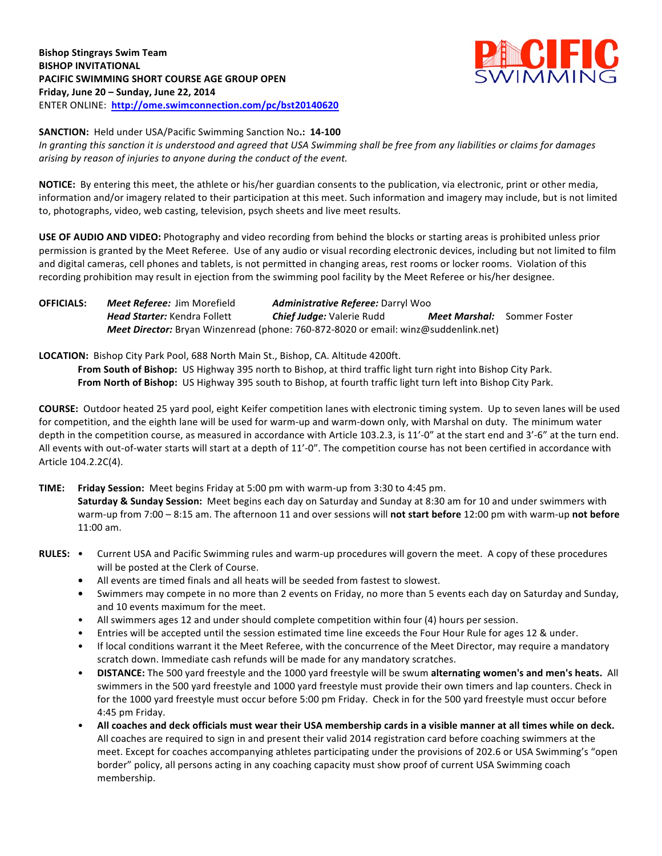# **Bishop Stingrays Swim Team BISHOP INVITATIONAL PACIFIC SWIMMING SHORT COURSE AGE GROUP OPEN** Friday, June 20 - Sunday, June 22, 2014 ENTER ONLINE: **http://ome.swimconnection.com/pc/bst20140620**



**SANCTION:** Held under USA/Pacific Swimming Sanction No.: 14-100 In granting this sanction it is understood and agreed that USA Swimming shall be free from any liabilities or claims for damages arising by reason of injuries to anyone during the conduct of the event.

**NOTICE:** By entering this meet, the athlete or his/her guardian consents to the publication, via electronic, print or other media, information and/or imagery related to their participation at this meet. Such information and imagery may include, but is not limited to, photographs, video, web casting, television, psych sheets and live meet results.

**USE OF AUDIO AND VIDEO:** Photography and video recording from behind the blocks or starting areas is prohibited unless prior permission is granted by the Meet Referee. Use of any audio or visual recording electronic devices, including but not limited to film and digital cameras, cell phones and tablets, is not permitted in changing areas, rest rooms or locker rooms. Violation of this recording prohibition may result in ejection from the swimming pool facility by the Meet Referee or his/her designee.

**OFFICIALS:** *Meet Referee:* Jim Morefield *Administrative Referee:* Darryl Woo **Head Starter:** Kendra Follett **Chief Judge:** Valerie Rudd **Meet Marshal:** Sommer Foster *Meet Director:* Bryan Winzenread (phone: 760-872-8020 or email: winz@suddenlink.net)

## **LOCATION:** Bishop City Park Pool, 688 North Main St., Bishop, CA. Altitude 4200ft.

From South of Bishop: US Highway 395 north to Bishop, at third traffic light turn right into Bishop City Park. From North of Bishop: US Highway 395 south to Bishop, at fourth traffic light turn left into Bishop City Park.

**COURSE:** Outdoor heated 25 yard pool, eight Keifer competition lanes with electronic timing system. Up to seven lanes will be used for competition, and the eighth lane will be used for warm-up and warm-down only, with Marshal on duty. The minimum water depth in the competition course, as measured in accordance with Article 103.2.3, is 11'-0" at the start end and 3'-6" at the turn end. All events with out-of-water starts will start at a depth of 11'-0". The competition course has not been certified in accordance with Article 104.2.2C(4).

**TIME:** Friday Session: Meet begins Friday at 5:00 pm with warm-up from 3:30 to 4:45 pm.

**Saturday & Sunday Session:** Meet begins each day on Saturday and Sunday at 8:30 am for 10 and under swimmers with warm-up from 7:00 - 8:15 am. The afternoon 11 and over sessions will not start before 12:00 pm with warm-up not before 11:00 am.

- RULES: . Current USA and Pacific Swimming rules and warm-up procedures will govern the meet. A copy of these procedures will be posted at the Clerk of Course.
	- All events are timed finals and all heats will be seeded from fastest to slowest.
	- Swimmers may compete in no more than 2 events on Friday, no more than 5 events each day on Saturday and Sunday, and 10 events maximum for the meet.
	- All swimmers ages 12 and under should complete competition within four (4) hours per session.
	- Entries will be accepted until the session estimated time line exceeds the Four Hour Rule for ages 12 & under.
	- If local conditions warrant it the Meet Referee, with the concurrence of the Meet Director, may require a mandatory scratch down. Immediate cash refunds will be made for any mandatory scratches.
	- **DISTANCE:** The 500 yard freestyle and the 1000 yard freestyle will be swum alternating women's and men's heats. All swimmers in the 500 yard freestyle and 1000 yard freestyle must provide their own timers and lap counters. Check in for the 1000 yard freestyle must occur before 5:00 pm Friday. Check in for the 500 yard freestyle must occur before 4:45 pm Friday.
	- All coaches and deck officials must wear their USA membership cards in a visible manner at all times while on deck. All coaches are required to sign in and present their valid 2014 registration card before coaching swimmers at the meet. Except for coaches accompanying athletes participating under the provisions of 202.6 or USA Swimming's "open border" policy, all persons acting in any coaching capacity must show proof of current USA Swimming coach membership.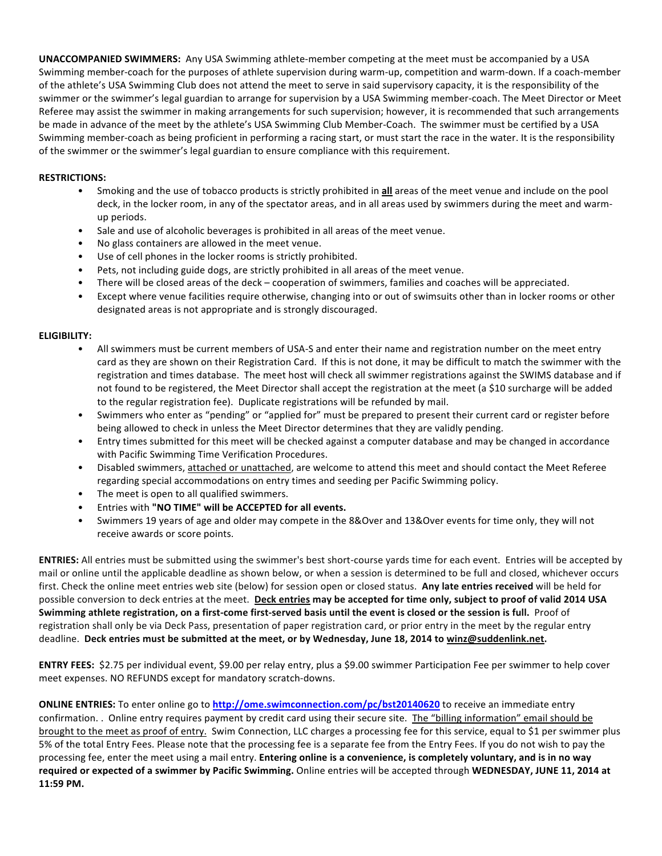**UNACCOMPANIED SWIMMERS:** Any USA Swimming athlete-member competing at the meet must be accompanied by a USA Swimming member-coach for the purposes of athlete supervision during warm-up, competition and warm-down. If a coach-member of the athlete's USA Swimming Club does not attend the meet to serve in said supervisory capacity, it is the responsibility of the swimmer or the swimmer's legal guardian to arrange for supervision by a USA Swimming member-coach. The Meet Director or Meet Referee may assist the swimmer in making arrangements for such supervision; however, it is recommended that such arrangements be made in advance of the meet by the athlete's USA Swimming Club Member-Coach. The swimmer must be certified by a USA Swimming member-coach as being proficient in performing a racing start, or must start the race in the water. It is the responsibility of the swimmer or the swimmer's legal guardian to ensure compliance with this requirement.

## **RESTRICTIONS:**

- Smoking and the use of tobacco products is strictly prohibited in **all** areas of the meet venue and include on the pool deck, in the locker room, in any of the spectator areas, and in all areas used by swimmers during the meet and warmup periods.
- Sale and use of alcoholic beverages is prohibited in all areas of the meet venue.
- No glass containers are allowed in the meet venue.
- Use of cell phones in the locker rooms is strictly prohibited.
- Pets, not including guide dogs, are strictly prohibited in all areas of the meet venue.
- There will be closed areas of the deck cooperation of swimmers, families and coaches will be appreciated.
- Except where venue facilities require otherwise, changing into or out of swimsuits other than in locker rooms or other designated areas is not appropriate and is strongly discouraged.

#### **ELIGIBILITY:**

- All swimmers must be current members of USA-S and enter their name and registration number on the meet entry card as they are shown on their Registration Card. If this is not done, it may be difficult to match the swimmer with the registration and times database. The meet host will check all swimmer registrations against the SWIMS database and if not found to be registered, the Meet Director shall accept the registration at the meet (a \$10 surcharge will be added to the regular registration fee). Duplicate registrations will be refunded by mail.
- Swimmers who enter as "pending" or "applied for" must be prepared to present their current card or register before being allowed to check in unless the Meet Director determines that they are validly pending.
- Entry times submitted for this meet will be checked against a computer database and may be changed in accordance with Pacific Swimming Time Verification Procedures.
- Disabled swimmers, attached or unattached, are welcome to attend this meet and should contact the Meet Referee regarding special accommodations on entry times and seeding per Pacific Swimming policy.
- The meet is open to all qualified swimmers.
- Entries with "NO TIME" will be ACCEPTED for all events.
- Swimmers 19 years of age and older may compete in the 8&Over and 13&Over events for time only, they will not receive awards or score points.

**ENTRIES:** All entries must be submitted using the swimmer's best short-course yards time for each event. Entries will be accepted by mail or online until the applicable deadline as shown below, or when a session is determined to be full and closed, whichever occurs first. Check the online meet entries web site (below) for session open or closed status. Any late entries received will be held for possible conversion to deck entries at the meet. Deck entries may be accepted for time only, subject to proof of valid 2014 USA Swimming athlete registration, on a first-come first-served basis until the event is closed or the session is full. Proof of registration shall only be via Deck Pass, presentation of paper registration card, or prior entry in the meet by the regular entry deadline. Deck entries must be submitted at the meet, or by Wednesday, June 18, 2014 to winz@suddenlink.net.

**ENTRY FEES:** \$2.75 per individual event, \$9.00 per relay entry, plus a \$9.00 swimmer Participation Fee per swimmer to help cover meet expenses. NO REFUNDS except for mandatory scratch-downs.

**ONLINE ENTRIES:** To enter online go to **http://ome.swimconnection.com/pc/bst20140620** to receive an immediate entry confirmation. . Online entry requires payment by credit card using their secure site. The "billing information" email should be brought to the meet as proof of entry. Swim Connection, LLC charges a processing fee for this service, equal to \$1 per swimmer plus 5% of the total Entry Fees. Please note that the processing fee is a separate fee from the Entry Fees. If you do not wish to pay the processing fee, enter the meet using a mail entry. **Entering online is a convenience, is completely voluntary, and is in no way** required or expected of a swimmer by Pacific Swimming. Online entries will be accepted through WEDNESDAY, JUNE 11, 2014 at **11:59 PM.**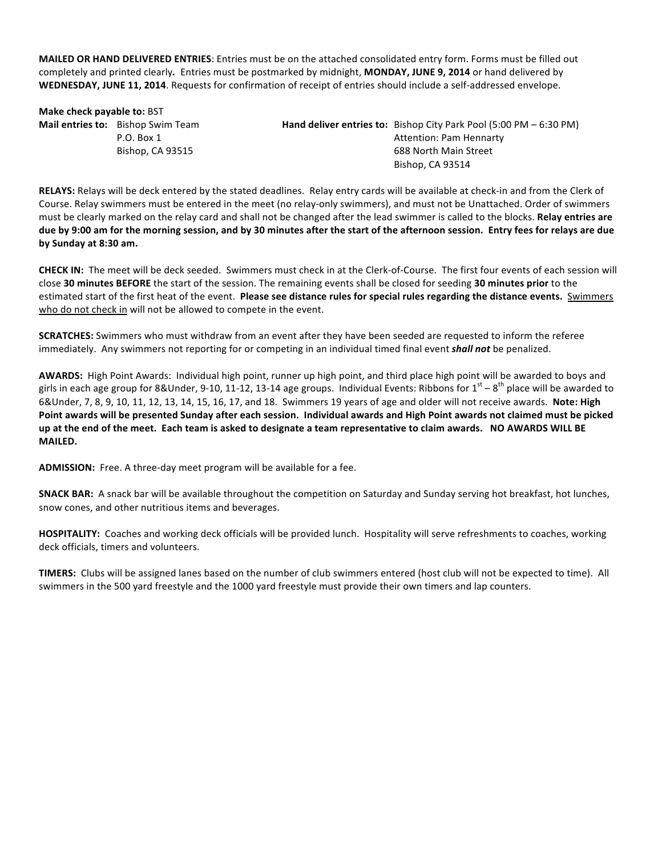**MAILED OR HAND DELIVERED ENTRIES:** Entries must be on the attached consolidated entry form. Forms must be filled out completely and printed clearly. Entries must be postmarked by midnight, MONDAY, JUNE 9, 2014 or hand delivered by WEDNESDAY, JUNE 11, 2014. Requests for confirmation of receipt of entries should include a self-addressed envelope.

**Make check payable to: BST** 

**Mail entries to:** Bishop Swim Team **Hand deliver entries to:** Bishop City Park Pool (5:00 PM – 6:30 PM) P.O. Box 1 and the contract of the contract of the contract of the contract of the contract of the contract of the contract of the contract of the contract of the contract of the contract of the contract of the contract of Bishop, CA 93515 **688** North Main Street Bishop, CA 93514

**RELAYS:** Relays will be deck entered by the stated deadlines. Relay entry cards will be available at check-in and from the Clerk of Course. Relay swimmers must be entered in the meet (no relay-only swimmers), and must not be Unattached. Order of swimmers must be clearly marked on the relay card and shall not be changed after the lead swimmer is called to the blocks. Relay entries are due by 9:00 am for the morning session, and by 30 minutes after the start of the afternoon session. Entry fees for relays are due **by Sunday at 8:30 am.**

**CHECK IN:** The meet will be deck seeded. Swimmers must check in at the Clerk-of-Course. The first four events of each session will close **30 minutes BEFORE** the start of the session. The remaining events shall be closed for seeding 30 minutes prior to the estimated start of the first heat of the event. Please see distance rules for special rules regarding the distance events. Swimmers who do not check in will not be allowed to compete in the event.

**SCRATCHES:** Swimmers who must withdraw from an event after they have been seeded are requested to inform the referee immediately. Any swimmers not reporting for or competing in an individual timed final event *shall not* be penalized.

AWARDS: High Point Awards: Individual high point, runner up high point, and third place high point will be awarded to boys and girls in each age group for 8&Under, 9-10, 11-12, 13-14 age groups. Individual Events: Ribbons for  $1^{st} - 8^{th}$  place will be awarded to 6&Under, 7, 8, 9, 10, 11, 12, 13, 14, 15, 16, 17, and 18. Swimmers 19 years of age and older will not receive awards. Note: High Point awards will be presented Sunday after each session. Individual awards and High Point awards not claimed must be picked up at the end of the meet. Each team is asked to designate a team representative to claim awards. NO AWARDS WILL BE **MAILED.**

**ADMISSION:** Free. A three-day meet program will be available for a fee.

**SNACK BAR:** A snack bar will be available throughout the competition on Saturday and Sunday serving hot breakfast, hot lunches, snow cones, and other nutritious items and beverages.

HOSPITALITY: Coaches and working deck officials will be provided lunch. Hospitality will serve refreshments to coaches, working deck officials, timers and volunteers.

**TIMERS:** Clubs will be assigned lanes based on the number of club swimmers entered (host club will not be expected to time). All swimmers in the 500 yard freestyle and the 1000 yard freestyle must provide their own timers and lap counters.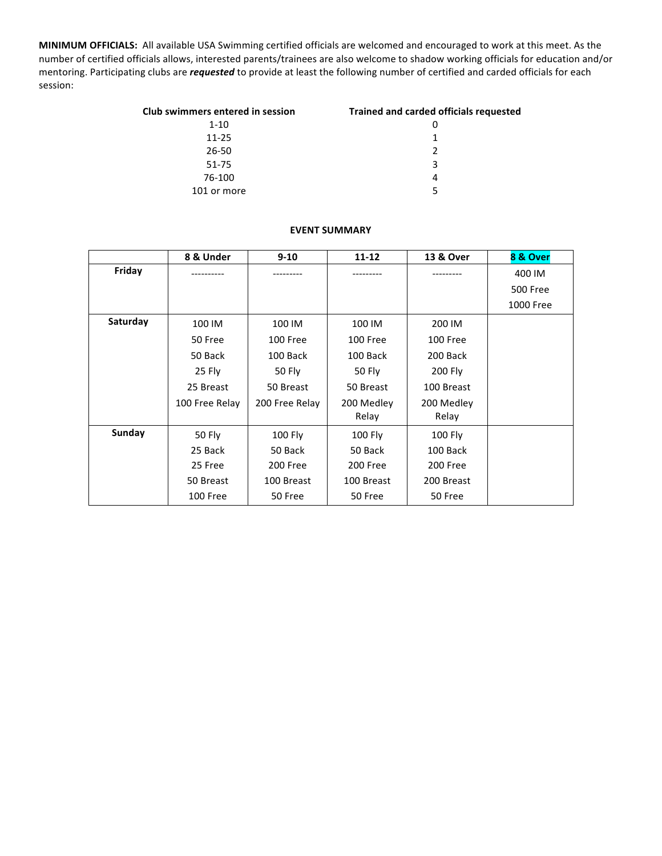MINIMUM OFFICIALS: All available USA Swimming certified officials are welcomed and encouraged to work at this meet. As the number of certified officials allows, interested parents/trainees are also welcome to shadow working officials for education and/or mentoring. Participating clubs are *requested* to provide at least the following number of certified and carded officials for each session:

| <b>Club swimmers entered in session</b> | <b>Trained and carded officials requested</b> |
|-----------------------------------------|-----------------------------------------------|
| $1 - 10$                                |                                               |
| $11 - 25$                               | 1                                             |
| $26 - 50$                               | $\mathcal{P}$                                 |
| 51-75                                   | 3                                             |
| 76-100                                  | 4                                             |
| 101 or more                             | 5                                             |

#### **EVENT SUMMARY**

|          | 8 & Under      | $9 - 10$       | $11 - 12$     | 13 & Over  | 8 & Over        |
|----------|----------------|----------------|---------------|------------|-----------------|
| Friday   |                |                |               |            | 400 IM          |
|          |                |                |               |            | <b>500 Free</b> |
|          |                |                |               |            | 1000 Free       |
| Saturday | 100 IM         | 100 IM         | 100 IM        | 200 IM     |                 |
|          | 50 Free        | 100 Free       | 100 Free      | 100 Free   |                 |
|          | 50 Back        | 100 Back       | 100 Back      | 200 Back   |                 |
|          | 25 Fly         | <b>50 Fly</b>  | <b>50 Fly</b> | 200 Fly    |                 |
|          | 25 Breast      | 50 Breast      | 50 Breast     | 100 Breast |                 |
|          | 100 Free Relay | 200 Free Relay | 200 Medley    | 200 Medley |                 |
|          |                |                | Relay         | Relay      |                 |
| Sunday   | 50 Fly         | 100 Fly        | 100 Fly       | 100 Fly    |                 |
|          | 25 Back        | 50 Back        | 50 Back       | 100 Back   |                 |
|          | 25 Free        | 200 Free       | 200 Free      | 200 Free   |                 |
|          | 50 Breast      | 100 Breast     | 100 Breast    | 200 Breast |                 |
|          | 100 Free       | 50 Free        | 50 Free       | 50 Free    |                 |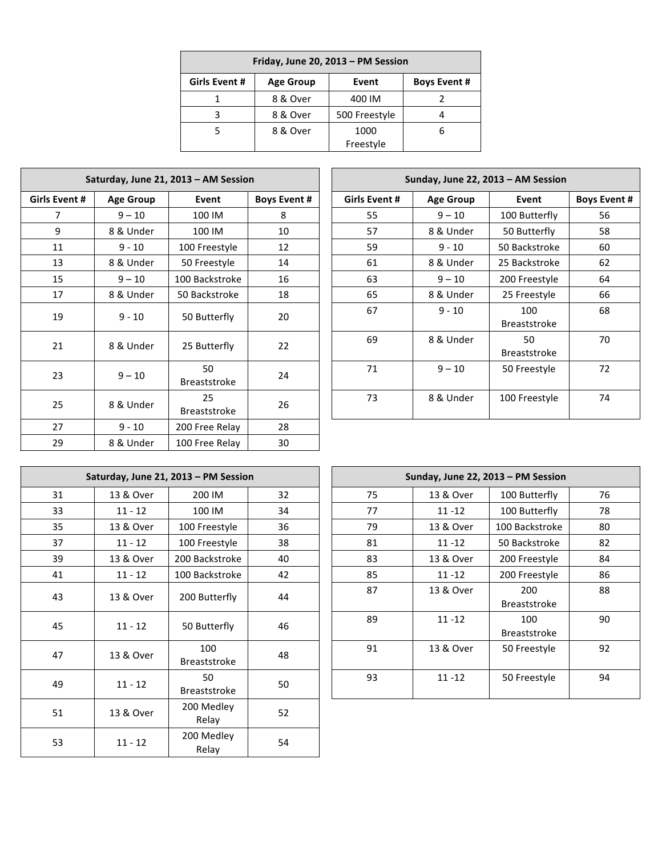| Friday, June 20, 2013 - PM Session |                  |               |                     |  |  |  |  |
|------------------------------------|------------------|---------------|---------------------|--|--|--|--|
| Girls Event #                      | <b>Age Group</b> | Event         | <b>Boys Event #</b> |  |  |  |  |
|                                    | 8 & Over         | 400 IM        |                     |  |  |  |  |
|                                    | 8 & Over         | 500 Freestyle |                     |  |  |  |  |
|                                    | 8 & Over         | 1000          |                     |  |  |  |  |
|                                    |                  | Freestyle     |                     |  |  |  |  |

|               |                  | Saturday, June 21, 2013 - AM Session |                     |               | Sunday, June 22, 2013 - AM S |                  |
|---------------|------------------|--------------------------------------|---------------------|---------------|------------------------------|------------------|
| Girls Event # | <b>Age Group</b> | Event                                | <b>Boys Event #</b> | Girls Event # | <b>Age Group</b>             | Even             |
| 7             | $9 - 10$         | 100 IM                               | 8                   | 55            | $9 - 10$                     | 100 Butt         |
| 9             | 8 & Under        | 100 IM                               | 10                  | 57            | 8 & Under                    | 50 Butte         |
| 11            | $9 - 10$         | 100 Freestyle                        | 12                  | 59            | $9 - 10$                     | 50 Backst        |
| 13            | 8 & Under        | 50 Freestyle                         | 14                  | 61            | 8 & Under                    | 25 Backst        |
| 15            | $9 - 10$         | 100 Backstroke                       | 16                  | 63            | $9 - 10$                     | 200 Free:        |
| 17            | 8 & Under        | 50 Backstroke                        | 18                  | 65            | 8 & Under                    | 25 Frees         |
| 19            | $9 - 10$         | 50 Butterfly                         | 20                  | 67            | $9 - 10$                     | 100<br>Breaststi |
| 21            | 8 & Under        | 25 Butterfly                         | 22                  | 69            | 8 & Under                    | 50<br>Breaststi  |
| 23            | $9 - 10$         | 50<br><b>Breaststroke</b>            | 24                  | 71            | $9 - 10$                     | 50 Frees         |
| 25            | 8 & Under        | 25<br><b>Breaststroke</b>            | 26                  | 73            | 8 & Under                    | 100 Free:        |
| 27            | $9 - 10$         | 200 Free Relay                       | 28                  |               |                              |                  |
| 29            | 8 & Under        | 100 Free Relay                       | 30                  |               |                              |                  |

| Saturday, June 21, 2013 - AM Session |                  |                           |                     |                      |                  | Sunday, June 22, 2013 - AM Session |                     |
|--------------------------------------|------------------|---------------------------|---------------------|----------------------|------------------|------------------------------------|---------------------|
| Girls Event #                        | <b>Age Group</b> | Event                     | <b>Boys Event #</b> | <b>Girls Event #</b> | <b>Age Group</b> | Event                              | <b>Boys Event #</b> |
| 7                                    | $9 - 10$         | 100 IM                    | 8                   | 55                   | $9 - 10$         | 100 Butterfly                      |                     |
| 9                                    | 8 & Under        | 100 IM                    | 10                  | 57                   | 8 & Under        | 50 Butterfly                       |                     |
| 11                                   | $9 - 10$         | 100 Freestyle             | 12                  | 59                   | $9 - 10$         | 50 Backstroke                      |                     |
| 13                                   | 8 & Under        | 50 Freestyle              | 14                  | 61                   | 8 & Under        | 25 Backstroke                      |                     |
| 15                                   | $9 - 10$         | 100 Backstroke            | 16                  | 63                   | $9 - 10$         | 200 Freestyle                      |                     |
| 17                                   | 8 & Under        | 50 Backstroke             | 18                  | 65                   | 8 & Under        | 25 Freestyle                       |                     |
| 19                                   | $9 - 10$         | 50 Butterfly              | 20                  | 67                   | $9 - 10$         | 100<br><b>Breaststroke</b>         |                     |
| 21                                   | 8 & Under        | 25 Butterfly              | 22                  | 69                   | 8 & Under        | 50<br><b>Breaststroke</b>          |                     |
| 23                                   | $9 - 10$         | 50<br><b>Breaststroke</b> | 24                  | 71                   | $9 - 10$         | 50 Freestyle                       |                     |
| 25                                   | 8 & Under        | 25<br><b>Breaststroke</b> | 26                  | 73                   | 8 & Under        | 100 Freestyle                      |                     |

| Saturday, June 21, 2013 - PM Session |           |                            |    |  |    |           | Sunday, June 22, 2013 - PM Session |
|--------------------------------------|-----------|----------------------------|----|--|----|-----------|------------------------------------|
| 31                                   | 13 & Over | 200 IM                     | 32 |  | 75 | 13 & Over | 100 Butterfly                      |
| 33                                   | $11 - 12$ | 100 IM                     | 34 |  | 77 | $11 - 12$ | 100 Butterfly                      |
| 35                                   | 13 & Over | 100 Freestyle              | 36 |  | 79 | 13 & Over | 100 Backstroke                     |
| 37                                   | $11 - 12$ | 100 Freestyle              | 38 |  | 81 | $11 - 12$ | 50 Backstroke                      |
| 39                                   | 13 & Over | 200 Backstroke             | 40 |  | 83 | 13 & Over | 200 Freestyle                      |
| 41                                   | $11 - 12$ | 100 Backstroke             | 42 |  | 85 | $11 - 12$ | 200 Freestyle                      |
| 43                                   | 13 & Over | 200 Butterfly              | 44 |  | 87 | 13 & Over | 200<br><b>Breaststroke</b>         |
| 45                                   | $11 - 12$ | 50 Butterfly               | 46 |  | 89 | $11 - 12$ | 100<br><b>Breaststroke</b>         |
| 47                                   | 13 & Over | 100<br><b>Breaststroke</b> | 48 |  | 91 | 13 & Over | 50 Freestyle                       |
| 49                                   | $11 - 12$ | 50<br><b>Breaststroke</b>  | 50 |  | 93 | $11 - 12$ | 50 Freestyle                       |
| 51                                   | 13 & Over | 200 Medley<br>Relay        | 52 |  |    |           |                                    |
| 53                                   | $11 - 12$ | 200 Medley<br>Relay        | 54 |  |    |           |                                    |

|    |           | Saturday, June 21, 2013 - PM Session |    |    |           | Sunday, June 22, 2013 - PM Session |    |
|----|-----------|--------------------------------------|----|----|-----------|------------------------------------|----|
| 31 | 13 & Over | 200 IM                               | 32 | 75 | 13 & Over | 100 Butterfly                      | 76 |
| 33 | $11 - 12$ | 100 IM                               | 34 | 77 | $11 - 12$ | 100 Butterfly                      | 78 |
| 35 | 13 & Over | 100 Freestyle                        | 36 | 79 | 13 & Over | 100 Backstroke                     | 80 |
| 37 | $11 - 12$ | 100 Freestyle                        | 38 | 81 | $11 - 12$ | 50 Backstroke                      | 82 |
| 39 | 13 & Over | 200 Backstroke                       | 40 | 83 | 13 & Over | 200 Freestyle                      | 84 |
| 41 | $11 - 12$ | 100 Backstroke                       | 42 | 85 | $11 - 12$ | 200 Freestyle                      | 86 |
| 43 | 13 & Over | 200 Butterfly                        | 44 | 87 | 13 & Over | 200<br><b>Breaststroke</b>         | 88 |
| 45 | $11 - 12$ | 50 Butterfly                         | 46 | 89 | $11 - 12$ | 100<br><b>Breaststroke</b>         | 90 |
| 47 | 13 & Over | 100<br><b>Breaststroke</b>           | 48 | 91 | 13 & Over | 50 Freestyle                       | 92 |
| 49 | $11 - 12$ | 50<br><b>Breaststroke</b>            | 50 | 93 | $11 - 12$ | 50 Freestyle                       | 94 |